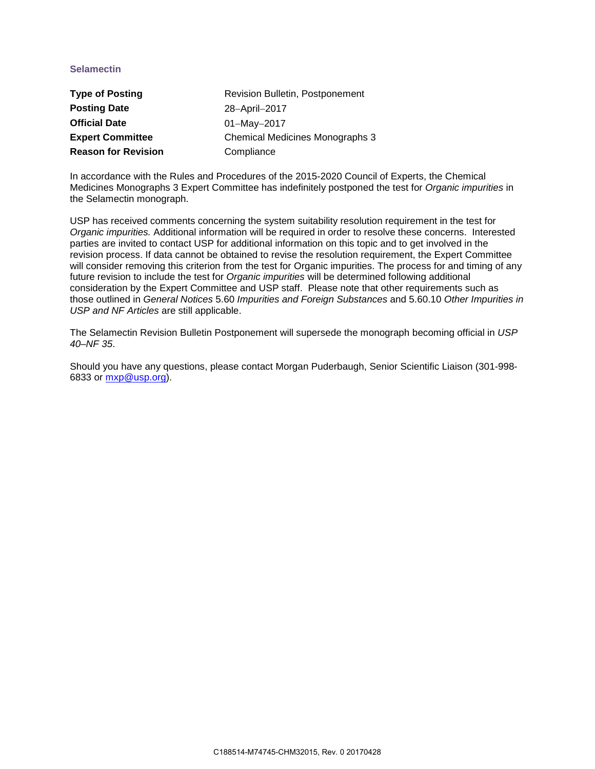## **Selamectin**

| <b>Type of Posting</b>     | Revision Bulletin, Postponement |
|----------------------------|---------------------------------|
| <b>Posting Date</b>        | 28-April-2017                   |
| <b>Official Date</b>       | $01 - May - 2017$               |
| <b>Expert Committee</b>    | Chemical Medicines Monographs 3 |
| <b>Reason for Revision</b> | Compliance                      |

In accordance with the Rules and Procedures of the 2015-2020 Council of Experts, the Chemical Medicines Monographs 3 Expert Committee has indefinitely postponed the test for *Organic impurities* in the Selamectin monograph.

USP has received comments concerning the system suitability resolution requirement in the test for *Organic impurities.* Additional information will be required in order to resolve these concerns. Interested parties are invited to contact USP for additional information on this topic and to get involved in the revision process. If data cannot be obtained to revise the resolution requirement, the Expert Committee will consider removing this criterion from the test for Organic impurities. The process for and timing of any future revision to include the test for *Organic impurities* will be determined following additional consideration by the Expert Committee and USP staff. Please note that other requirements such as those outlined in *General Notices* 5.60 *Impurities and Foreign Substances* and 5.60.10 *Other Impurities in USP and NF Articles* are still applicable.

The Selamectin Revision Bulletin Postponement will supersede the monograph becoming official in *USP 40–NF 35*.

Should you have any questions, please contact Morgan Puderbaugh, Senior Scientific Liaison (301-998- 6833 or mxp@usp.org).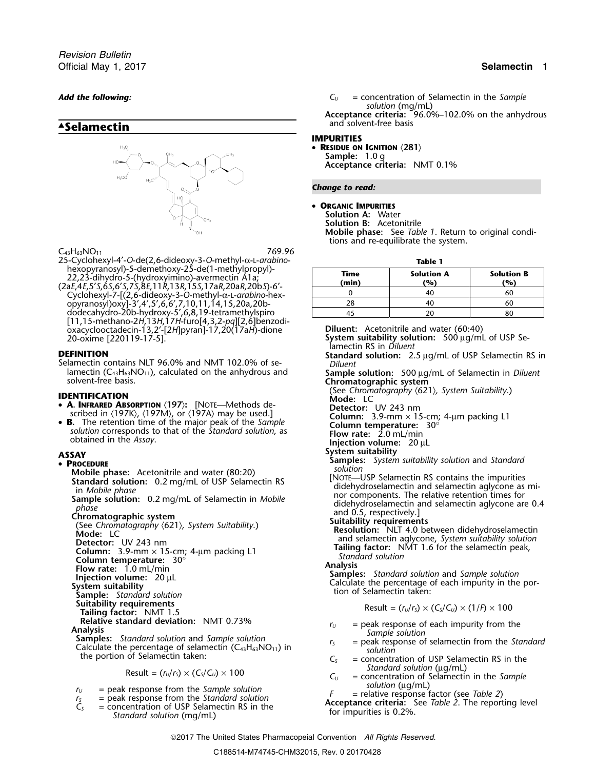*Revision Bulletin* Official May 1, 2017 **Selamectin** 1

# **.Selamectin**



 $C_{43}H_{63}NO_{11}$  769.96 25-Cyclohexyl-4′-*O*-de(2,6-dideoxy-3-*O*-methyl-<sup>α</sup>-L-*arabino*- **Table 1**

22,23-dihydro-5-(hydroxyimino)-avermectin A1a;<br>22,23-dihydro-5-(hydroxyimino)-avermectin A1a;<br>20aE,4E,5'S,6S,6'S,7S,8E,11R,13R,15S,17aR,20aR,20bS)-6'-Cyclohexyl-7-[(2,6-dideoxy-3-*<sup>O</sup>* <sup>0</sup> <sup>40</sup> <sup>60</sup> -methyl-<sup>α</sup>-L-*arabino*-hexopyranosyl)oxy]-3′,4′,5′,6,6′,7,10,11,14,15,20a,20b- <sup>28</sup> <sup>40</sup> <sup>60</sup> dodecahydro-20b-hydroxy-5′,6,8,19-tetramethylspiro 45 20 80 [11,15-methano-2*H*,13*H*,17*H*-furo[4,3,2-*pq*][2,6]benzodioxacyclooctadecin-13,2′-[2*H*]pyran]-17,20(17a*H*)-dione **Diluent:** Acetonitrile and water (60:40)

lamectin (C<sub>43</sub>H<sub>63</sub>NO<sub>11</sub>), calculated on the anhydrous and **Sample solution:** 500 µg/mL of Selamectin in *Diluent* solvent-free basis.

- 
- 

### **PROCEDURE**

primate Chromatographic system<br>
Chromatography (621), System Suitability.)<br>
Chromatography (621), System Suitability.)<br>
Column: 3.9-Pmm × 15-cm; 4-µm packing L1<br>
Column: 3.9-Pmm × 1.6 for the selamectin peak,<br>
Column: 3.9 Fuitability requirements<br> **Suite -** (*r<sub>U</sub>*/*r<sub>S</sub>*) × (*C<sub>S</sub>*/*C<sub>U</sub>*) × (1/*F*) × 100<br>
Relative standard deviation: NMT 0.73%<br>  $F_{\mu} = \text{peak response of each impurity from the$ **Relative standard deviation:** NMT 0.73%  $r_U$  = peak response of each impurity from the<br> **Analysis** Samples: Standard solution and Sample solution<br>
Calculate the percentage of selamectin (C<sub>43</sub>H<sub>63</sub>NO<sub>11</sub>) in  $r_S$  = peak *Standard solution* ( $\mu$ g/mL)<br> *C<sub>U</sub>* = concentration of Selamectin in the *Sample*<br> *Solution* ( $\mu$ g/mL)<br> *Cu* = concentration of Selamectin in the *Sample*<br> *Solution* ( $\mu$ g/mL)

- 
- 

```
Add the following: C<sub>U</sub> = concentration of Selamectin in the Sample
                                                             solution (mg/mL)
                                                     . Acceptance criteria: 96.0%–102.0% on the anhydrous
                                                      and solvent-free basis
```
### **IMPURITIES**

• **RESIDUE ON IGNITION** 〈**281**〉 **Sample:** 1.0 g **Acceptance criteria:** NMT 0.1%

### *Change to read:*

•**ORGANIC IMPURITIES**

**Solution A:** Water

**Solution B:** Acetonitrile

**Mobile phase:** See *Table 1*. Return to original conditions and re-equilibrate the system.

| Time<br>(min) | <b>Solution A</b><br>(%) | <b>Solution B</b><br>(%) |
|---------------|--------------------------|--------------------------|
|               |                          |                          |
|               |                          |                          |
|               |                          |                          |

**System suitability solution:** 500 µg/mL of USP Selamectin RS in *Diluent* **DEFINITION Standard solution:** 2.5 µg/mL of USP Selamectin RS in Selamectin RS in Selamectin RS in Selamectin RS in Selamectin RS in **Chromatographic system IDENTIFICATION**<br>
• **A. INFRARED ABSORPTION** (197): [NOTE—Methods de-<br> **IDENTIFICATION ASSORPTION** (1971). [NOTE—Methods de-<br> **Detector:** UV 243 nm • **A. INFRARED ABSORPTION**  $\langle 197 \rangle$ : [NOTE—Methods de-<br>scribed in  $\langle 197K \rangle$ ,  $\langle 197M \rangle$ , or  $\langle 197A \rangle$  may be used.]<br>• **B.** The retention time of the major peak of the *Sample* 6. Column: 3.9-mm × 15-cm; 4-µm packin SCRIDEG IN (197K), (197M), or (197A) may be used.]<br> **B.** The retention time of the major peak of the *Sample*<br>
solution corresponds to that of the *Standard solution*, as<br>
obtained in the *Assay*.<br> **SKAY**<br>
SKAY<br>
System su **System suitability**<br> **System suitability solution**<br>
Samples: System suitability solution<br>
Solution **Example phase:** Acetonitrile and water (80:20)<br> **Standard solution:** 0.2 mg/mL of USP Selamectin RS<br>
in Mobile phase<br>
Sample solution: 0.2 mg/mL of Selamectin in Mobile<br>
phase<br>
Chromatographic system<br>
(See Chromatography

 $r_0$  = peak response from the Sample solution<br>  $r_5$  = peak response from the Standard solution<br>  $C_5$  = concentration of USP Selamectin RS in the<br>
Standard solution (mg/mL)<br>  $C_5$  = concentration of USP Selamectin RS in

2017 The United States Pharmacopeial Convention *All Rights Reserved.*